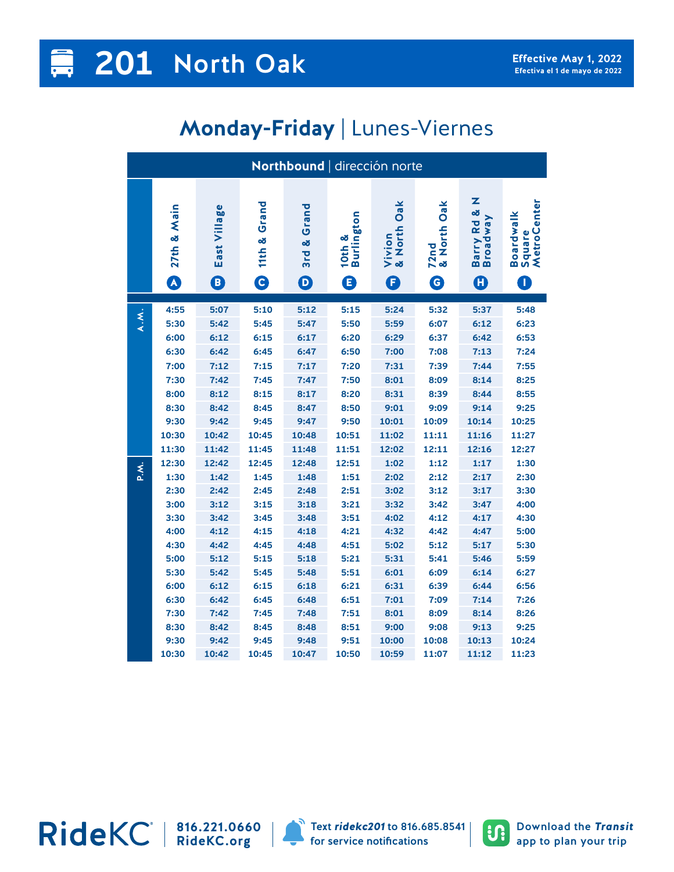## **Monday-Friday** | Lunes-Viernes

| Northbound   dirección norte |                     |                   |                                 |                                          |                           |                               |                                                 |                                                        |                                         |  |
|------------------------------|---------------------|-------------------|---------------------------------|------------------------------------------|---------------------------|-------------------------------|-------------------------------------------------|--------------------------------------------------------|-----------------------------------------|--|
|                              | & Main<br>27th<br>A | East Village<br>0 | Grand<br>œ<br>11th<br>$\bullet$ | 3rd & Grand<br>$\boldsymbol{\mathsf{D}}$ | Burlington<br>10th &<br>0 | Oak<br>& North<br>Vivion<br>Ē | Oak<br>& North<br>72nd<br>$\boldsymbol{\Theta}$ | z<br>Barry Rd &<br><b>Broadway</b><br>$\boldsymbol{0}$ | MetroCenter<br>Boardwalk<br>Square<br>T |  |
|                              |                     |                   |                                 |                                          |                           |                               |                                                 |                                                        |                                         |  |
| A.M.                         | 4:55                | 5:07              | 5:10                            | 5:12                                     | 5:15                      | 5:24                          | 5:32                                            | 5:37                                                   | 5:48                                    |  |
|                              | 5:30                | 5:42              | 5:45                            | 5:47                                     | 5:50                      | 5:59                          | 6:07                                            | 6:12                                                   | 6:23                                    |  |
|                              | 6:00                | 6:12              | 6:15                            | 6:17                                     | 6:20                      | 6:29                          | 6:37                                            | 6:42                                                   | 6:53                                    |  |
|                              | 6:30                | 6:42              | 6:45                            | 6:47                                     | 6:50                      | 7:00                          | 7:08                                            | 7:13                                                   | 7:24                                    |  |
|                              | 7:00                | 7:12              | 7:15                            | 7:17                                     | 7:20                      | 7:31                          | 7:39                                            | 7:44                                                   | 7:55                                    |  |
|                              | 7:30                | 7:42              | 7:45                            | 7:47                                     | 7:50                      | 8:01                          | 8:09                                            | 8:14                                                   | 8:25                                    |  |
|                              | 8:00                | 8:12              | 8:15                            | 8:17                                     | 8:20                      | 8:31                          | 8:39                                            | 8:44                                                   | 8:55                                    |  |
|                              | 8:30                | 8:42              | 8:45                            | 8:47                                     | 8:50                      | 9:01                          | 9:09                                            | 9:14                                                   | 9:25                                    |  |
|                              | 9:30                | 9:42              | 9:45                            | 9:47                                     | 9:50                      | 10:01                         | 10:09                                           | 10:14                                                  | 10:25                                   |  |
|                              | 10:30               | 10:42             | 10:45                           | 10:48                                    | 10:51                     | 11:02                         | 11:11                                           | 11:16                                                  | 11:27                                   |  |
|                              | 11:30               | 11:42             | 11:45                           | 11:48                                    | 11:51                     | 12:02                         | 12:11                                           | 12:16                                                  | 12:27                                   |  |
|                              | 12:30               | 12:42             | 12:45                           | 12:48                                    | 12:51                     | 1:02                          | 1:12                                            | 1:17                                                   | 1:30                                    |  |
| X.A                          | 1:30                | 1:42              | 1:45                            | 1:48                                     | 1:51                      | 2:02                          | 2:12                                            | 2:17                                                   | 2:30                                    |  |
|                              | 2:30                | 2:42              | 2:45                            | 2:48                                     | 2:51                      | 3:02                          | 3:12                                            | 3:17                                                   | 3:30                                    |  |
|                              | 3:00                | 3:12              | 3:15                            | 3:18                                     | 3:21                      | 3:32                          | 3:42                                            | 3:47                                                   | 4:00                                    |  |
|                              | 3:30                | 3:42              | 3:45                            | 3:48                                     | 3:51                      | 4:02                          | 4:12                                            | 4:17                                                   | 4:30                                    |  |
|                              | 4:00                | 4:12              | 4:15                            | 4:18                                     | 4:21                      | 4:32                          | 4:42                                            | 4:47                                                   | 5:00                                    |  |
|                              | 4:30                | 4:42              | 4:45                            | 4:48                                     | 4:51                      | 5:02                          | 5:12                                            | 5:17                                                   | 5:30                                    |  |
|                              | 5:00                | 5:12              | 5:15                            | 5:18                                     | 5:21                      | 5:31                          | 5:41                                            | 5:46                                                   | 5:59                                    |  |
|                              | 5:30                | 5:42              | 5:45                            | 5:48                                     | 5:51                      | 6:01                          | 6:09                                            | 6:14                                                   | 6:27                                    |  |
|                              | 6:00                | 6:12              | 6:15                            | 6:18                                     | 6:21                      | 6:31                          | 6:39                                            | 6:44                                                   | 6:56                                    |  |
|                              | 6:30                | 6:42              | 6:45                            | 6:48                                     | 6:51                      | 7:01                          | 7:09                                            | 7:14                                                   | 7:26                                    |  |
|                              | 7:30                | 7:42              | 7:45                            | 7:48                                     | 7:51                      | 8:01                          | 8:09                                            | 8:14                                                   | 8:26                                    |  |
|                              | 8:30                | 8:42              | 8:45                            | 8:48                                     | 8:51                      | 9:00                          | 9:08                                            | 9:13                                                   | 9:25                                    |  |
|                              | 9:30                | 9:42              | 9:45                            | 9:48                                     | 9:51                      | 10:00                         | 10:08                                           | 10:13                                                  | 10:24                                   |  |
|                              | 10:30               | 10:42             | 10:45                           | 10:47                                    | 10:50                     | 10:59                         | 11:07                                           | 11:12                                                  | 11:23                                   |  |